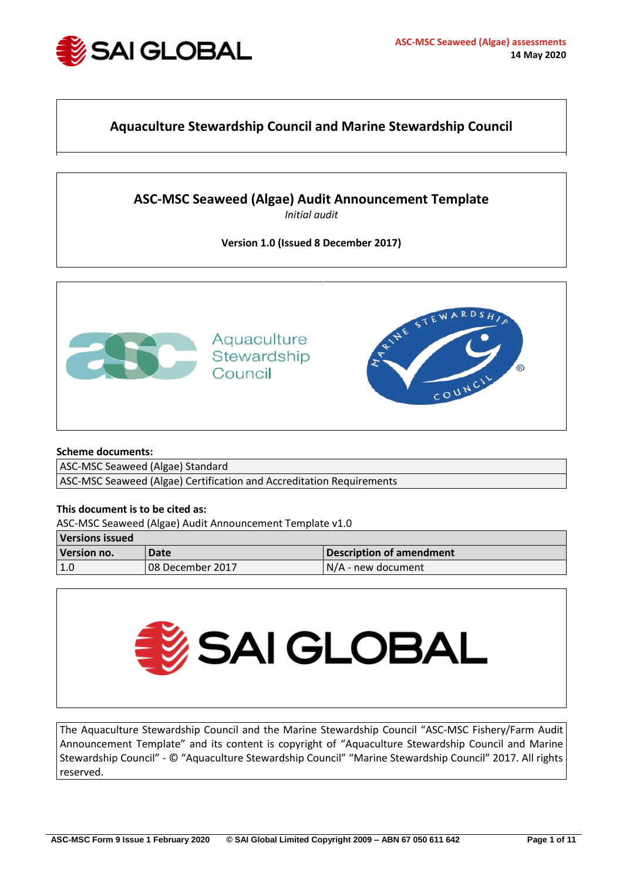

# **Aquaculture Stewardship Council and Marine Stewardship Council**

# **ASC-MSC Seaweed (Algae) Audit Announcement Template**

*Initial audit*

## **Version 1.0 (Issued 8 December 2017)**



### **Scheme documents:**

ASC-MSC Seaweed (Algae) Standard

ASC-MSC Seaweed (Algae) Certification and Accreditation Requirements

## **This document is to be cited as:**

ASC-MSC Seaweed (Algae) Audit Announcement Template v1.0

| <b>Versions issued</b> |                  |                          |  |  |
|------------------------|------------------|--------------------------|--|--|
| Version no.            | Date             | Description of amendment |  |  |
| 1.0                    | 08 December 2017 | N/A - new document       |  |  |



The Aquaculture Stewardship Council and the Marine Stewardship Council "ASC-MSC Fishery/Farm Audit Announcement Template" and its content is copyright of "Aquaculture Stewardship Council and Marine Stewardship Council" - © "Aquaculture Stewardship Council" "Marine Stewardship Council" 2017. All rights reserved.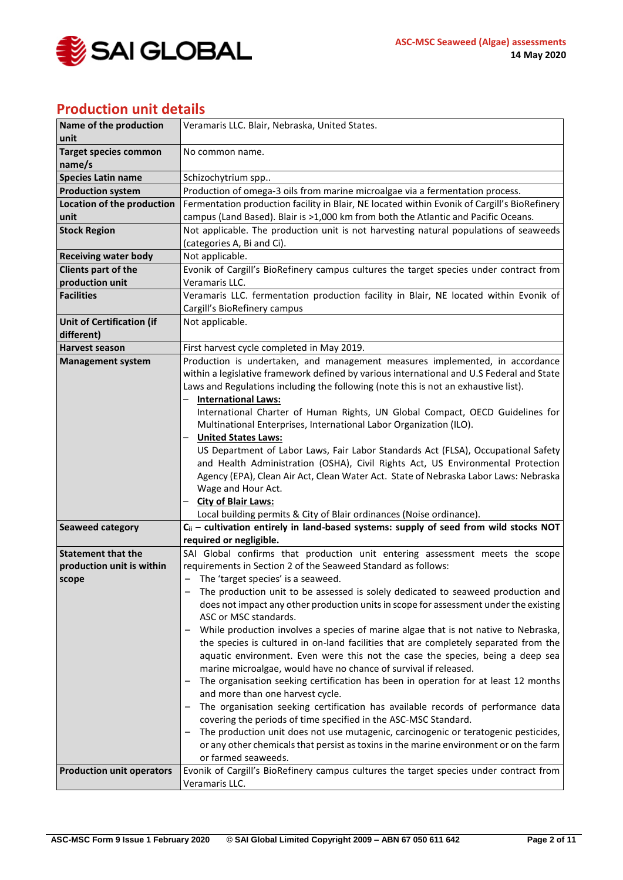

# **Production unit details**

| Name of the production           | Veramaris LLC. Blair, Nebraska, United States.                                               |  |
|----------------------------------|----------------------------------------------------------------------------------------------|--|
| unit                             |                                                                                              |  |
| <b>Target species common</b>     | No common name.                                                                              |  |
| name/s                           |                                                                                              |  |
| <b>Species Latin name</b>        | Schizochytrium spp                                                                           |  |
| <b>Production system</b>         | Production of omega-3 oils from marine microalgae via a fermentation process.                |  |
| Location of the production       | Fermentation production facility in Blair, NE located within Evonik of Cargill's BioRefinery |  |
| unit                             | campus (Land Based). Blair is >1,000 km from both the Atlantic and Pacific Oceans.           |  |
| <b>Stock Region</b>              | Not applicable. The production unit is not harvesting natural populations of seaweeds        |  |
|                                  | (categories A, Bi and Ci).                                                                   |  |
| <b>Receiving water body</b>      | Not applicable.                                                                              |  |
| Clients part of the              | Evonik of Cargill's BioRefinery campus cultures the target species under contract from       |  |
| production unit                  | Veramaris LLC.                                                                               |  |
| <b>Facilities</b>                | Veramaris LLC. fermentation production facility in Blair, NE located within Evonik of        |  |
|                                  | Cargill's BioRefinery campus                                                                 |  |
| <b>Unit of Certification (if</b> | Not applicable.                                                                              |  |
| different)                       |                                                                                              |  |
| Harvest season                   | First harvest cycle completed in May 2019.                                                   |  |
| <b>Management system</b>         | Production is undertaken, and management measures implemented, in accordance                 |  |
|                                  | within a legislative framework defined by various international and U.S Federal and State    |  |
|                                  | Laws and Regulations including the following (note this is not an exhaustive list).          |  |
|                                  | <b>International Laws:</b>                                                                   |  |
|                                  | International Charter of Human Rights, UN Global Compact, OECD Guidelines for                |  |
|                                  | Multinational Enterprises, International Labor Organization (ILO).                           |  |
|                                  | <b>United States Laws:</b>                                                                   |  |
|                                  | US Department of Labor Laws, Fair Labor Standards Act (FLSA), Occupational Safety            |  |
|                                  | and Health Administration (OSHA), Civil Rights Act, US Environmental Protection              |  |
|                                  | Agency (EPA), Clean Air Act, Clean Water Act. State of Nebraska Labor Laws: Nebraska         |  |
|                                  | Wage and Hour Act.                                                                           |  |
|                                  | <b>City of Blair Laws:</b>                                                                   |  |
|                                  | Local building permits & City of Blair ordinances (Noise ordinance).                         |  |
| <b>Seaweed category</b>          | $C_{ii}$ – cultivation entirely in land-based systems: supply of seed from wild stocks NOT   |  |
|                                  | required or negligible.                                                                      |  |
| <b>Statement that the</b>        | SAI Global confirms that production unit entering assessment meets the scope                 |  |
| production unit is within        | requirements in Section 2 of the Seaweed Standard as follows:                                |  |
| scope                            | - The 'target species' is a seaweed.                                                         |  |
|                                  | The production unit to be assessed is solely dedicated to seaweed production and             |  |
|                                  | does not impact any other production units in scope for assessment under the existing        |  |
|                                  | ASC or MSC standards.                                                                        |  |
|                                  | While production involves a species of marine algae that is not native to Nebraska,          |  |
|                                  | the species is cultured in on-land facilities that are completely separated from the         |  |
|                                  | aquatic environment. Even were this not the case the species, being a deep sea               |  |
|                                  | marine microalgae, would have no chance of survival if released.                             |  |
|                                  | The organisation seeking certification has been in operation for at least 12 months          |  |
|                                  | and more than one harvest cycle.                                                             |  |
|                                  | The organisation seeking certification has available records of performance data             |  |
|                                  | covering the periods of time specified in the ASC-MSC Standard.                              |  |
|                                  | The production unit does not use mutagenic, carcinogenic or teratogenic pesticides,          |  |
|                                  | or any other chemicals that persist as toxins in the marine environment or on the farm       |  |
|                                  | or farmed seaweeds.                                                                          |  |
| <b>Production unit operators</b> | Evonik of Cargill's BioRefinery campus cultures the target species under contract from       |  |
|                                  | Veramaris LLC.                                                                               |  |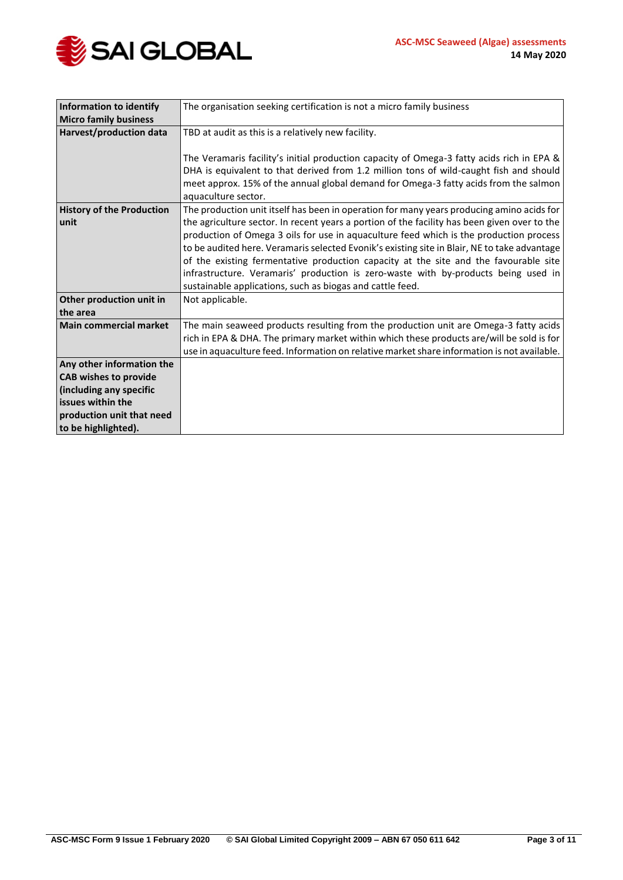

| Information to identify                  | The organisation seeking certification is not a micro family business                                                                                                                                                                                                                                                                                                                                                                                                                                                                                                                                                          |
|------------------------------------------|--------------------------------------------------------------------------------------------------------------------------------------------------------------------------------------------------------------------------------------------------------------------------------------------------------------------------------------------------------------------------------------------------------------------------------------------------------------------------------------------------------------------------------------------------------------------------------------------------------------------------------|
| <b>Micro family business</b>             |                                                                                                                                                                                                                                                                                                                                                                                                                                                                                                                                                                                                                                |
| Harvest/production data                  | TBD at audit as this is a relatively new facility.                                                                                                                                                                                                                                                                                                                                                                                                                                                                                                                                                                             |
|                                          | The Veramaris facility's initial production capacity of Omega-3 fatty acids rich in EPA &<br>DHA is equivalent to that derived from 1.2 million tons of wild-caught fish and should<br>meet approx. 15% of the annual global demand for Omega-3 fatty acids from the salmon<br>aquaculture sector.                                                                                                                                                                                                                                                                                                                             |
| <b>History of the Production</b><br>unit | The production unit itself has been in operation for many years producing amino acids for<br>the agriculture sector. In recent years a portion of the facility has been given over to the<br>production of Omega 3 oils for use in aquaculture feed which is the production process<br>to be audited here. Veramaris selected Evonik's existing site in Blair, NE to take advantage<br>of the existing fermentative production capacity at the site and the favourable site<br>infrastructure. Veramaris' production is zero-waste with by-products being used in<br>sustainable applications, such as biogas and cattle feed. |
| Other production unit in<br>the area     | Not applicable.                                                                                                                                                                                                                                                                                                                                                                                                                                                                                                                                                                                                                |
| <b>Main commercial market</b>            | The main seaweed products resulting from the production unit are Omega-3 fatty acids<br>rich in EPA & DHA. The primary market within which these products are/will be sold is for<br>use in aquaculture feed. Information on relative market share information is not available.                                                                                                                                                                                                                                                                                                                                               |
| Any other information the                |                                                                                                                                                                                                                                                                                                                                                                                                                                                                                                                                                                                                                                |
| <b>CAB wishes to provide</b>             |                                                                                                                                                                                                                                                                                                                                                                                                                                                                                                                                                                                                                                |
| (including any specific                  |                                                                                                                                                                                                                                                                                                                                                                                                                                                                                                                                                                                                                                |
| issues within the                        |                                                                                                                                                                                                                                                                                                                                                                                                                                                                                                                                                                                                                                |
| production unit that need                |                                                                                                                                                                                                                                                                                                                                                                                                                                                                                                                                                                                                                                |
| to be highlighted).                      |                                                                                                                                                                                                                                                                                                                                                                                                                                                                                                                                                                                                                                |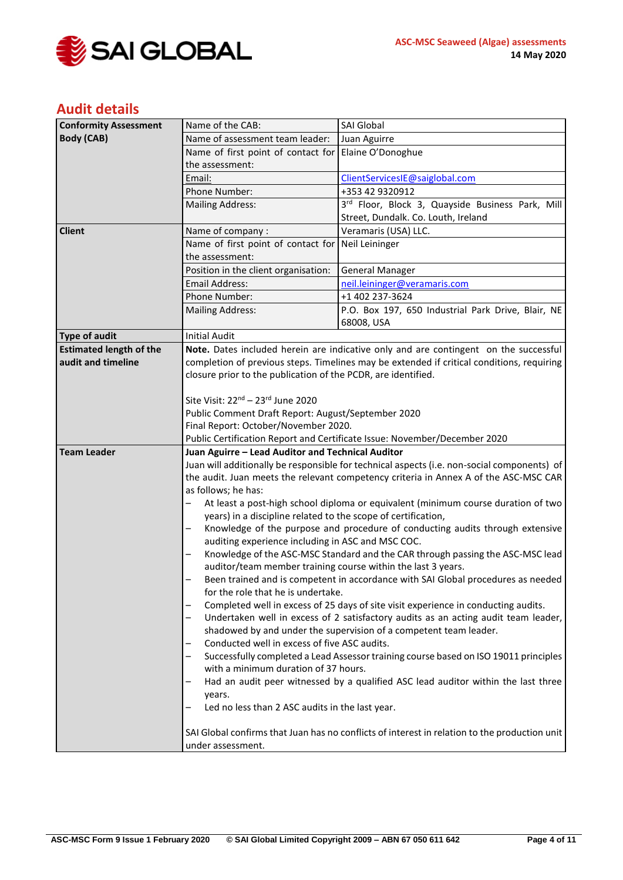

# **Audit details**

| <b>Conformity Assessment</b>   | Name of the CAB:                                                                                                                                                                                                                                | SAI Global                                                                                  |  |
|--------------------------------|-------------------------------------------------------------------------------------------------------------------------------------------------------------------------------------------------------------------------------------------------|---------------------------------------------------------------------------------------------|--|
| <b>Body (CAB)</b>              | Name of assessment team leader:                                                                                                                                                                                                                 | Juan Aguirre                                                                                |  |
|                                | Name of first point of contact for                                                                                                                                                                                                              | Elaine O'Donoghue                                                                           |  |
|                                | the assessment:                                                                                                                                                                                                                                 |                                                                                             |  |
|                                | Email:                                                                                                                                                                                                                                          | ClientServicesIE@saiglobal.com                                                              |  |
|                                | Phone Number:                                                                                                                                                                                                                                   | +353 42 9320912                                                                             |  |
|                                | <b>Mailing Address:</b>                                                                                                                                                                                                                         | 3rd Floor, Block 3, Quayside Business Park, Mill                                            |  |
|                                |                                                                                                                                                                                                                                                 | Street, Dundalk. Co. Louth, Ireland                                                         |  |
| <b>Client</b>                  | Name of company:                                                                                                                                                                                                                                | Veramaris (USA) LLC.                                                                        |  |
|                                | Name of first point of contact for                                                                                                                                                                                                              | Neil Leininger                                                                              |  |
|                                | the assessment:                                                                                                                                                                                                                                 |                                                                                             |  |
|                                | Position in the client organisation:                                                                                                                                                                                                            | <b>General Manager</b>                                                                      |  |
|                                | <b>Email Address:</b>                                                                                                                                                                                                                           | neil.leininger@veramaris.com                                                                |  |
|                                | Phone Number:                                                                                                                                                                                                                                   | +1 402 237-3624                                                                             |  |
|                                | <b>Mailing Address:</b>                                                                                                                                                                                                                         | P.O. Box 197, 650 Industrial Park Drive, Blair, NE                                          |  |
|                                |                                                                                                                                                                                                                                                 | 68008, USA                                                                                  |  |
| <b>Type of audit</b>           | <b>Initial Audit</b>                                                                                                                                                                                                                            |                                                                                             |  |
| <b>Estimated length of the</b> |                                                                                                                                                                                                                                                 | Note. Dates included herein are indicative only and are contingent on the successful        |  |
| audit and timeline             |                                                                                                                                                                                                                                                 | completion of previous steps. Timelines may be extended if critical conditions, requiring   |  |
|                                | closure prior to the publication of the PCDR, are identified.                                                                                                                                                                                   |                                                                                             |  |
|                                |                                                                                                                                                                                                                                                 |                                                                                             |  |
|                                | Site Visit: 22 <sup>nd</sup> - 23 <sup>rd</sup> June 2020                                                                                                                                                                                       |                                                                                             |  |
|                                | Public Comment Draft Report: August/September 2020                                                                                                                                                                                              |                                                                                             |  |
|                                | Final Report: October/November 2020.                                                                                                                                                                                                            |                                                                                             |  |
|                                |                                                                                                                                                                                                                                                 | Public Certification Report and Certificate Issue: November/December 2020                   |  |
| <b>Team Leader</b>             | Juan Aguirre - Lead Auditor and Technical Auditor                                                                                                                                                                                               |                                                                                             |  |
|                                |                                                                                                                                                                                                                                                 | Juan will additionally be responsible for technical aspects (i.e. non-social components) of |  |
|                                | the audit. Juan meets the relevant competency criteria in Annex A of the ASC-MSC CAR<br>as follows; he has:                                                                                                                                     |                                                                                             |  |
|                                |                                                                                                                                                                                                                                                 |                                                                                             |  |
|                                |                                                                                                                                                                                                                                                 | At least a post-high school diploma or equivalent (minimum course duration of two           |  |
|                                | years) in a discipline related to the scope of certification,                                                                                                                                                                                   |                                                                                             |  |
|                                |                                                                                                                                                                                                                                                 | Knowledge of the purpose and procedure of conducting audits through extensive               |  |
|                                | auditing experience including in ASC and MSC COC.                                                                                                                                                                                               |                                                                                             |  |
|                                |                                                                                                                                                                                                                                                 | Knowledge of the ASC-MSC Standard and the CAR through passing the ASC-MSC lead              |  |
|                                | auditor/team member training course within the last 3 years.                                                                                                                                                                                    |                                                                                             |  |
|                                | Been trained and is competent in accordance with SAI Global procedures as needed                                                                                                                                                                |                                                                                             |  |
|                                | for the role that he is undertake.                                                                                                                                                                                                              |                                                                                             |  |
|                                |                                                                                                                                                                                                                                                 | Completed well in excess of 25 days of site visit experience in conducting audits.          |  |
|                                |                                                                                                                                                                                                                                                 | Undertaken well in excess of 2 satisfactory audits as an acting audit team leader,          |  |
|                                |                                                                                                                                                                                                                                                 | shadowed by and under the supervision of a competent team leader.                           |  |
|                                | Conducted well in excess of five ASC audits.                                                                                                                                                                                                    |                                                                                             |  |
|                                | Successfully completed a Lead Assessor training course based on ISO 19011 principles                                                                                                                                                            |                                                                                             |  |
|                                | with a minimum duration of 37 hours.                                                                                                                                                                                                            |                                                                                             |  |
|                                | Had an audit peer witnessed by a qualified ASC lead auditor within the last three<br>years.<br>Led no less than 2 ASC audits in the last year.<br>SAI Global confirms that Juan has no conflicts of interest in relation to the production unit |                                                                                             |  |
|                                |                                                                                                                                                                                                                                                 |                                                                                             |  |
|                                |                                                                                                                                                                                                                                                 |                                                                                             |  |
|                                |                                                                                                                                                                                                                                                 |                                                                                             |  |
|                                |                                                                                                                                                                                                                                                 |                                                                                             |  |
|                                | under assessment.                                                                                                                                                                                                                               |                                                                                             |  |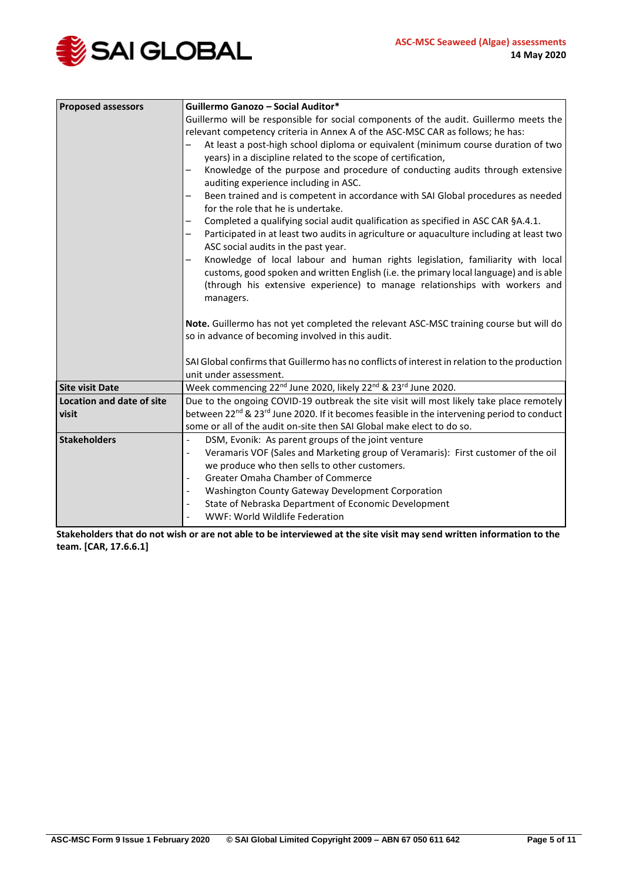

| <b>Proposed assessors</b> | Guillermo Ganozo - Social Auditor*                                                                                                                                                                                                                                     |  |  |
|---------------------------|------------------------------------------------------------------------------------------------------------------------------------------------------------------------------------------------------------------------------------------------------------------------|--|--|
|                           | Guillermo will be responsible for social components of the audit. Guillermo meets the                                                                                                                                                                                  |  |  |
|                           | relevant competency criteria in Annex A of the ASC-MSC CAR as follows; he has:                                                                                                                                                                                         |  |  |
|                           | At least a post-high school diploma or equivalent (minimum course duration of two                                                                                                                                                                                      |  |  |
|                           | years) in a discipline related to the scope of certification,                                                                                                                                                                                                          |  |  |
|                           | Knowledge of the purpose and procedure of conducting audits through extensive<br>auditing experience including in ASC.                                                                                                                                                 |  |  |
|                           | Been trained and is competent in accordance with SAI Global procedures as needed<br>for the role that he is undertake.                                                                                                                                                 |  |  |
|                           | Completed a qualifying social audit qualification as specified in ASC CAR §A.4.1.                                                                                                                                                                                      |  |  |
|                           | Participated in at least two audits in agriculture or aquaculture including at least two<br>ASC social audits in the past year.                                                                                                                                        |  |  |
|                           | Knowledge of local labour and human rights legislation, familiarity with local<br>customs, good spoken and written English (i.e. the primary local language) and is able<br>(through his extensive experience) to manage relationships with workers and<br>managers.   |  |  |
|                           | Note. Guillermo has not yet completed the relevant ASC-MSC training course but will do<br>so in advance of becoming involved in this audit.<br>SAI Global confirms that Guillermo has no conflicts of interest in relation to the production<br>unit under assessment. |  |  |
|                           |                                                                                                                                                                                                                                                                        |  |  |
|                           |                                                                                                                                                                                                                                                                        |  |  |
|                           |                                                                                                                                                                                                                                                                        |  |  |
| <b>Site visit Date</b>    | Week commencing 22 <sup>nd</sup> June 2020, likely 22 <sup>nd</sup> & 23 <sup>rd</sup> June 2020.                                                                                                                                                                      |  |  |
| Location and date of site | Due to the ongoing COVID-19 outbreak the site visit will most likely take place remotely                                                                                                                                                                               |  |  |
| visit                     | between 22 <sup>nd</sup> & 23 <sup>rd</sup> June 2020. If it becomes feasible in the intervening period to conduct                                                                                                                                                     |  |  |
|                           | some or all of the audit on-site then SAI Global make elect to do so.                                                                                                                                                                                                  |  |  |
| <b>Stakeholders</b>       | DSM, Evonik: As parent groups of the joint venture<br>$\overline{a}$                                                                                                                                                                                                   |  |  |
|                           | Veramaris VOF (Sales and Marketing group of Veramaris): First customer of the oil<br>$\overline{\phantom{a}}$                                                                                                                                                          |  |  |
|                           | we produce who then sells to other customers.                                                                                                                                                                                                                          |  |  |
|                           | Greater Omaha Chamber of Commerce                                                                                                                                                                                                                                      |  |  |
|                           | Washington County Gateway Development Corporation<br>$\qquad \qquad \blacksquare$                                                                                                                                                                                      |  |  |
|                           | State of Nebraska Department of Economic Development<br>$\overline{\phantom{a}}$                                                                                                                                                                                       |  |  |
|                           | WWF: World Wildlife Federation                                                                                                                                                                                                                                         |  |  |

**Stakeholders that do not wish or are not able to be interviewed at the site visit may send written information to the team. [CAR, 17.6.6.1]**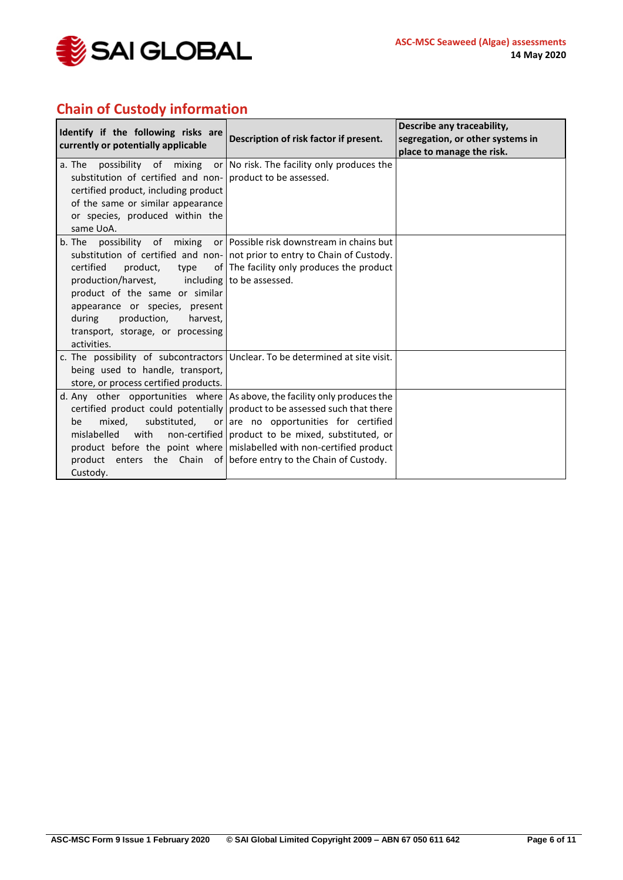

# **Chain of Custody information**

| Identify if the following risks are<br>currently or potentially applicable                                                                                                                                        | Description of risk factor if present.                                                                                                                                                                                                                                                                                                                                                                            | Describe any traceability,<br>segregation, or other systems in<br>place to manage the risk. |
|-------------------------------------------------------------------------------------------------------------------------------------------------------------------------------------------------------------------|-------------------------------------------------------------------------------------------------------------------------------------------------------------------------------------------------------------------------------------------------------------------------------------------------------------------------------------------------------------------------------------------------------------------|---------------------------------------------------------------------------------------------|
| a. The<br>substitution of certified and non- product to be assessed.<br>certified product, including product<br>of the same or similar appearance<br>or species, produced within the<br>same UoA.                 | possibility of mixing or No risk. The facility only produces the                                                                                                                                                                                                                                                                                                                                                  |                                                                                             |
| certified<br>product,<br>type<br>production/harvest,<br>product of the same or similar<br>appearance or species, present<br>production,<br>during<br>harvest,<br>transport, storage, or processing<br>activities. | b. The possibility of mixing or Possible risk downstream in chains but<br>substitution of certified and non- not prior to entry to Chain of Custody.<br>of The facility only produces the product<br>including to be assessed.                                                                                                                                                                                    |                                                                                             |
| being used to handle, transport,<br>store, or process certified products.                                                                                                                                         | c. The possibility of subcontractors Unclear. To be determined at site visit.                                                                                                                                                                                                                                                                                                                                     |                                                                                             |
| mixed.<br>be<br>mislabelled<br>with<br>Custody.                                                                                                                                                                   | d. Any other opportunities where As above, the facility only produces the<br>certified product could potentially product to be assessed such that there<br>substituted, or are no opportunities for certified<br>non-certified product to be mixed, substituted, or<br>product before the point where mislabelled with non-certified product<br>product enters the Chain of before entry to the Chain of Custody. |                                                                                             |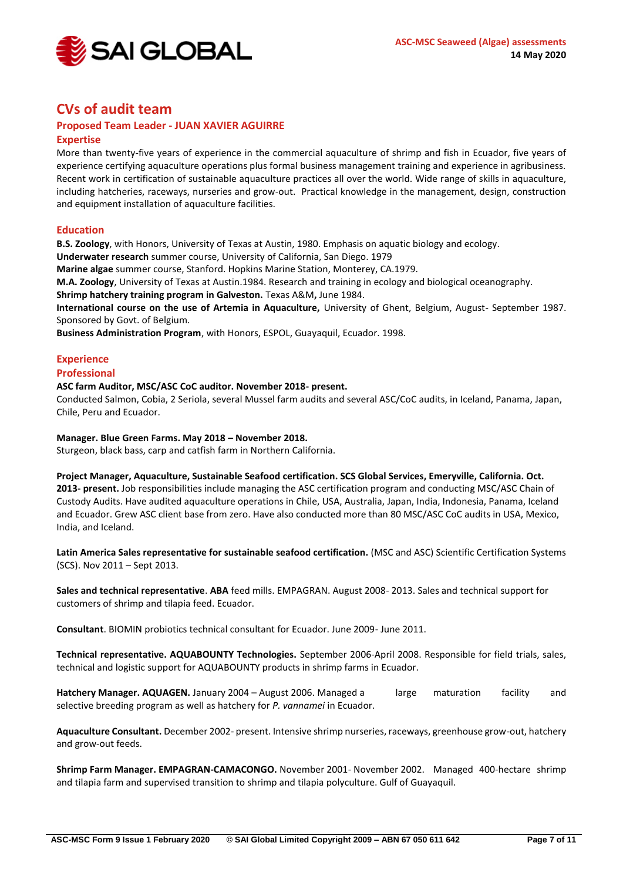

# **CVs of audit team**

# **Proposed Team Leader - JUAN XAVIER AGUIRRE**

# **Expertise**

More than twenty-five years of experience in the commercial aquaculture of shrimp and fish in Ecuador, five years of experience certifying aquaculture operations plus formal business management training and experience in agribusiness. Recent work in certification of sustainable aquaculture practices all over the world. Wide range of skills in aquaculture, including hatcheries, raceways, nurseries and grow-out. Practical knowledge in the management, design, construction and equipment installation of aquaculture facilities.

## **Education**

**B.S. Zoology**, with Honors, University of Texas at Austin, 1980. Emphasis on aquatic biology and ecology.

**Underwater research** summer course, University of California, San Diego. 1979

**Marine algae** summer course, Stanford. Hopkins Marine Station, Monterey, CA.1979.

**M.A. Zoology**, University of Texas at Austin.1984. Research and training in ecology and biological oceanography.

**Shrimp hatchery training program in Galveston.** Texas A&M**,** June 1984.

**International course on the use of Artemia in Aquaculture,** University of Ghent, Belgium, August- September 1987. Sponsored by Govt. of Belgium.

**Business Administration Program**, with Honors, ESPOL, Guayaquil, Ecuador. 1998.

# **Experience**

## **Professional**

## **ASC farm Auditor, MSC/ASC CoC auditor. November 2018- present.**

Conducted Salmon, Cobia, 2 Seriola, several Mussel farm audits and several ASC/CoC audits, in Iceland, Panama, Japan, Chile, Peru and Ecuador.

## **Manager. Blue Green Farms. May 2018 – November 2018.**

Sturgeon, black bass, carp and catfish farm in Northern California.

#### **Project Manager, Aquaculture, Sustainable Seafood certification. SCS Global Services, Emeryville, California. Oct.**

**2013- present.** Job responsibilities include managing the ASC certification program and conducting MSC/ASC Chain of Custody Audits. Have audited aquaculture operations in Chile, USA, Australia, Japan, India, Indonesia, Panama, Iceland and Ecuador. Grew ASC client base from zero. Have also conducted more than 80 MSC/ASC CoC audits in USA, Mexico, India, and Iceland.

**Latin America Sales representative for sustainable seafood certification.** (MSC and ASC) Scientific Certification Systems (SCS). Nov 2011 – Sept 2013.

**Sales and technical representative**. **ABA** feed mills. EMPAGRAN. August 2008- 2013. Sales and technical support for customers of shrimp and tilapia feed. Ecuador.

**Consultant**. BIOMIN probiotics technical consultant for Ecuador. June 2009- June 2011.

**Technical representative. AQUABOUNTY Technologies.** September 2006-April 2008. Responsible for field trials, sales, technical and logistic support for AQUABOUNTY products in shrimp farms in Ecuador.

Hatchery Manager. AQUAGEN. January 2004 – August 2006. Managed a large maturation facility and selective breeding program as well as hatchery for *P. vannamei* in Ecuador.

**Aquaculture Consultant.** December 2002- present. Intensive shrimp nurseries, raceways, greenhouse grow-out, hatchery and grow-out feeds.

**Shrimp Farm Manager. EMPAGRAN-CAMACONGO.** November 2001- November 2002. Managed 400-hectare shrimp and tilapia farm and supervised transition to shrimp and tilapia polyculture. Gulf of Guayaquil.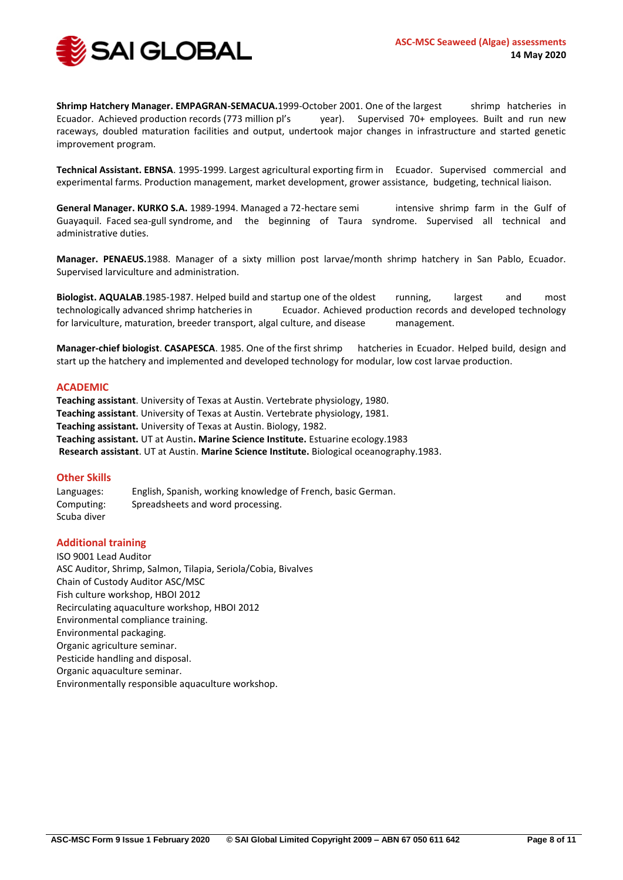

**Shrimp Hatchery Manager. EMPAGRAN-SEMACUA.**1999-October 2001. One of the largest shrimp hatcheries in Ecuador. Achieved production records (773 million pl's year). Supervised 70+ employees. Built and run new raceways, doubled maturation facilities and output, undertook major changes in infrastructure and started genetic improvement program.

**Technical Assistant. EBNSA**. 1995-1999. Largest agricultural exporting firm in Ecuador. Supervised commercial and experimental farms. Production management, market development, grower assistance, budgeting, technical liaison.

**General Manager. KURKO S.A.** 1989-1994. Managed a 72-hectare semi intensive shrimp farm in the Gulf of Guayaquil. Faced sea-gull syndrome, and the beginning of Taura syndrome. Supervised all technical and administrative duties.

**Manager. PENAEUS.**1988. Manager of a sixty million post larvae/month shrimp hatchery in San Pablo, Ecuador. Supervised larviculture and administration.

**Biologist. AQUALAB**.1985-1987. Helped build and startup one of the oldest running, largest and most technologically advanced shrimp hatcheries in Ecuador. Achieved production records and developed technology for larviculture, maturation, breeder transport, algal culture, and disease management.

**Manager-chief biologist**. **CASAPESCA**. 1985. One of the first shrimp hatcheries in Ecuador. Helped build, design and start up the hatchery and implemented and developed technology for modular, low cost larvae production.

#### **ACADEMIC**

**Teaching assistant**. University of Texas at Austin. Vertebrate physiology, 1980. **Teaching assistant**. University of Texas at Austin. Vertebrate physiology, 1981. **Teaching assistant.** University of Texas at Austin. Biology, 1982. **Teaching assistant.** UT at Austin**. Marine Science Institute.** Estuarine ecology.1983 **Research assistant**. UT at Austin. **Marine Science Institute.** Biological oceanography.1983.

#### **Other Skills**

Languages: English, Spanish, working knowledge of French, basic German. Computing: Spreadsheets and word processing. Scuba diver

#### **Additional training**

ISO 9001 Lead Auditor ASC Auditor, Shrimp, Salmon, Tilapia, Seriola/Cobia, Bivalves Chain of Custody Auditor ASC/MSC Fish culture workshop, HBOI 2012 Recirculating aquaculture workshop, HBOI 2012 Environmental compliance training. Environmental packaging. Organic agriculture seminar. Pesticide handling and disposal. Organic aquaculture seminar. Environmentally responsible aquaculture workshop.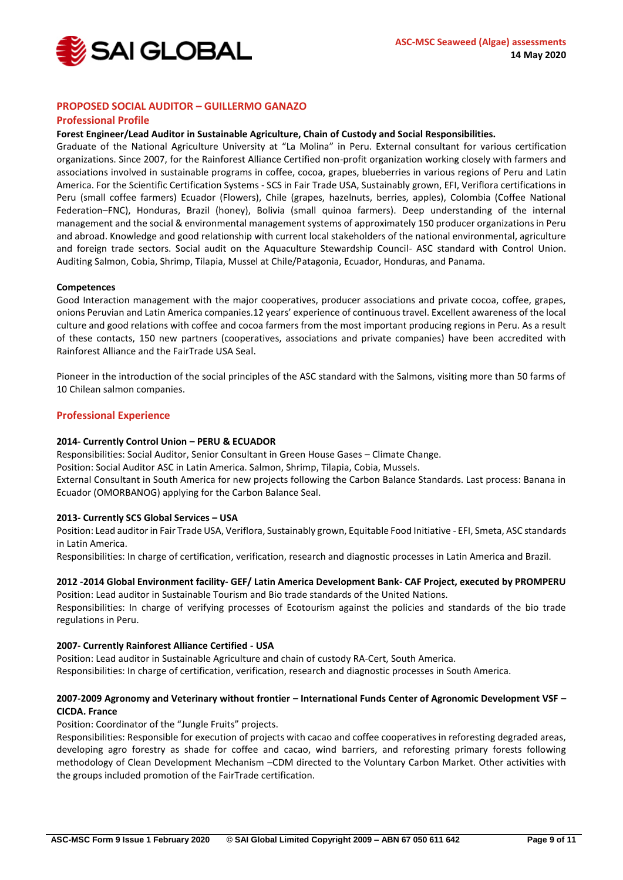

### **PROPOSED SOCIAL AUDITOR – GUILLERMO GANAZO**

#### **Professional Profile**

#### **Forest Engineer/Lead Auditor in Sustainable Agriculture, Chain of Custody and Social Responsibilities.**

Graduate of the National Agriculture University at "La Molina" in Peru. External consultant for various certification organizations. Since 2007, for the Rainforest Alliance Certified non-profit organization working closely with farmers and associations involved in sustainable programs in coffee, cocoa, grapes, blueberries in various regions of Peru and Latin America. For the Scientific Certification Systems - SCS in Fair Trade USA, Sustainably grown, EFI, Veriflora certifications in Peru (small coffee farmers) Ecuador (Flowers), Chile (grapes, hazelnuts, berries, apples), Colombia (Coffee National Federation–FNC), Honduras, Brazil (honey), Bolivia (small quinoa farmers). Deep understanding of the internal management and the social & environmental management systems of approximately 150 producer organizations in Peru and abroad. Knowledge and good relationship with current local stakeholders of the national environmental, agriculture and foreign trade sectors. Social audit on the Aquaculture Stewardship Council- ASC standard with Control Union. Auditing Salmon, Cobia, Shrimp, Tilapia, Mussel at Chile/Patagonia, Ecuador, Honduras, and Panama.

#### **Competences**

Good Interaction management with the major cooperatives, producer associations and private cocoa, coffee, grapes, onions Peruvian and Latin America companies.12 years' experience of continuous travel. Excellent awareness of the local culture and good relations with coffee and cocoa farmers from the most important producing regions in Peru. As a result of these contacts, 150 new partners (cooperatives, associations and private companies) have been accredited with Rainforest Alliance and the FairTrade USA Seal.

Pioneer in the introduction of the social principles of the ASC standard with the Salmons, visiting more than 50 farms of 10 Chilean salmon companies.

#### **Professional Experience**

#### **2014- Currently Control Union – PERU & ECUADOR**

Responsibilities: Social Auditor, Senior Consultant in Green House Gases – Climate Change.

Position: Social Auditor ASC in Latin America. Salmon, Shrimp, Tilapia, Cobia, Mussels.

External Consultant in South America for new projects following the Carbon Balance Standards. Last process: Banana in Ecuador (OMORBANOG) applying for the Carbon Balance Seal.

#### **2013- Currently SCS Global Services – USA**

Position: Lead auditor in Fair Trade USA, Veriflora, Sustainably grown, Equitable Food Initiative - EFI, Smeta, ASC standards in Latin America.

Responsibilities: In charge of certification, verification, research and diagnostic processes in Latin America and Brazil.

#### **2012 -2014 Global Environment facility- GEF/ Latin America Development Bank- CAF Project, executed by PROMPERU**  Position: Lead auditor in Sustainable Tourism and Bio trade standards of the United Nations.

Responsibilities: In charge of verifying processes of Ecotourism against the policies and standards of the bio trade regulations in Peru.

#### **2007- Currently Rainforest Alliance Certified - USA**

Position: Lead auditor in Sustainable Agriculture and chain of custody RA-Cert, South America. Responsibilities: In charge of certification, verification, research and diagnostic processes in South America.

### **2007-2009 Agronomy and Veterinary without frontier – International Funds Center of Agronomic Development VSF – CICDA. France**

Position: Coordinator of the "Jungle Fruits" projects.

Responsibilities: Responsible for execution of projects with cacao and coffee cooperatives in reforesting degraded areas, developing agro forestry as shade for coffee and cacao, wind barriers, and reforesting primary forests following methodology of Clean Development Mechanism –CDM directed to the Voluntary Carbon Market. Other activities with the groups included promotion of the FairTrade certification.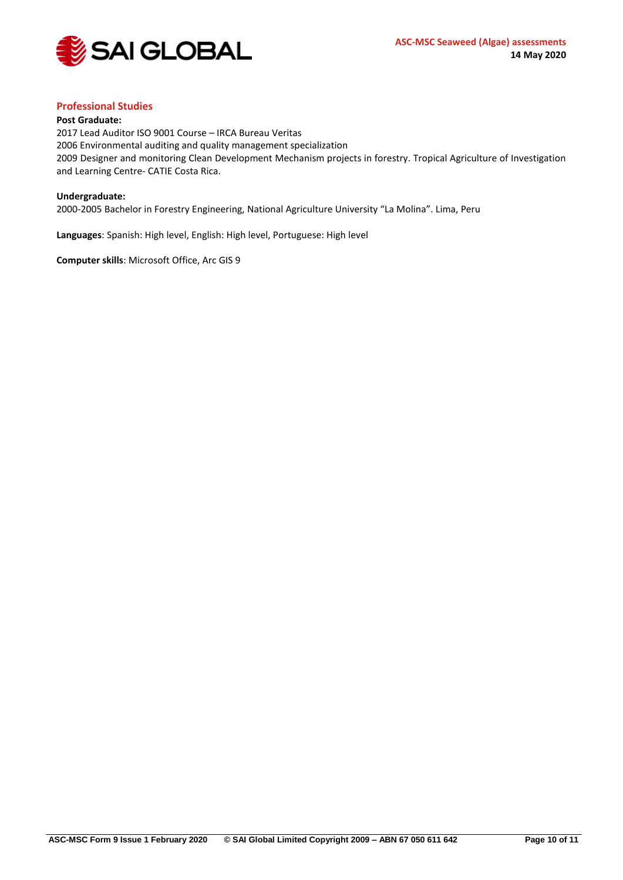

## **Professional Studies**

#### **Post Graduate:**

2017 Lead Auditor ISO 9001 Course – IRCA Bureau Veritas 2006 Environmental auditing and quality management specialization 2009 Designer and monitoring Clean Development Mechanism projects in forestry. Tropical Agriculture of Investigation and Learning Centre- CATIE Costa Rica.

#### **Undergraduate:**

2000-2005 Bachelor in Forestry Engineering, National Agriculture University "La Molina". Lima, Peru

**Languages**: Spanish: High level, English: High level, Portuguese: High level

**Computer skills**: Microsoft Office, Arc GIS 9